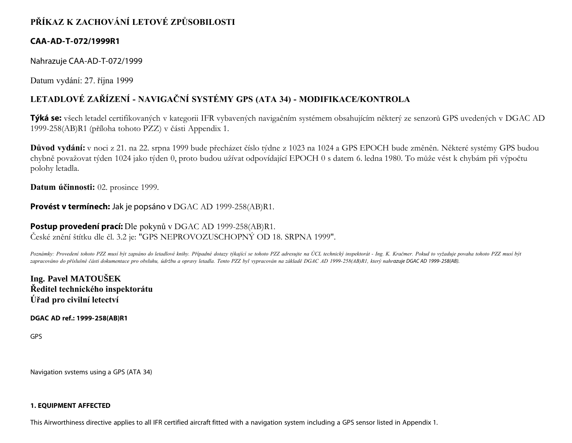# **PŘÍKAZ K ZACHOVÁNÍ LETOVÉ ZPŮSOBILOSTI**

## **CAA-AD-T-072/1999R1**

Nahrazuje CAA-AD-T-072/1999

Datum vydání: 27. října 1999

# **LETADLOVÉ ZAŘÍZENÍ - NAVIGAČNÍ SYSTÉMY GPS (ATA 34) - MODIFIKACE/KONTROLA**

**Týká se:** všech letadel certifikovaných v kategorii IFR vybavených navigačním systémem obsahujícím některý ze senzorů GPS uvedených v DGAC AD 1999-258(AB)R1 (příloha tohoto PZZ) v části Appendix 1.

**Důvod vydání:** v noci z 21. na 22. srpna 1999 bude přecházet číslo týdne z 1023 na 1024 a GPS EPOCH bude změněn. Některé systémy GPS budou chybně považovat týden 1024 jako týden 0, proto budou užívat odpovídající EPOCH 0 s datem 6. ledna 1980. To může vést k chybám při výpočtu polohy letadla.

**Datum účinnosti:** 02. prosince 1999.

## **Provést v termínech:** Jak je popsáno v DGAC AD 1999-258(AB)R1.

## **Postup provedení prací:** Dle pokynů v DGAC AD 1999-258(AB)R1. České znění štítku dle čl. 3.2 je: "GPS NEPROVOZUSCHOPNÝ OD 18. SRPNA 1999".

*Poznámky: Provedení tohoto PZZ musí být zapsáno do letadlové knihy. Případné dotazy týkající se tohoto PZZ adresujte na ÚCL technický inspektorát - Ing. K. Kračmer. Pokud to vyžaduje povaha tohoto PZZ musí být zapracováno do příslušné části dokumentace pro obsluhu, údržbu a opravy letadla. Tento PZZ byl vypracován na základě DGAC AD 1999-258(AB)R1, který nahrazuje DGAC AD 1999- 258(AB).*

**Ing. Pavel MATOUŠEK Ředitel technického inspektorátu Úřad pro civilní letectví**

**DGAC AD ref.: 1999-258(AB)R1**

GPS

Navigation svstems using a GPS (ATA 34)

### **1. EQUIPMENT AFFECTED**

This Airworthiness directive applies to all IFR certified aircraft fitted with a navigation system including a GPS sensor listed in Appendix 1.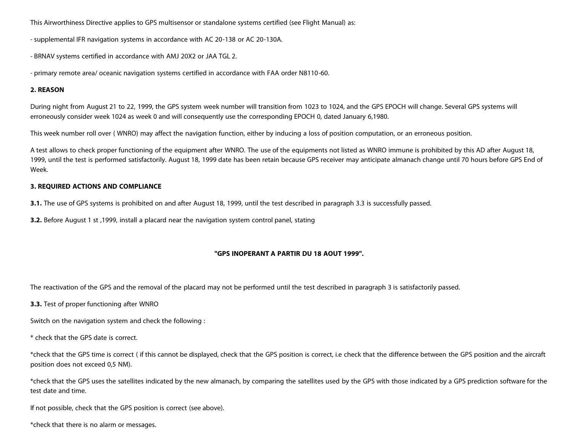This Airworthiness Directive applies to GPS multisensor or standalone systems certified (see Flight Manual) as:

- supplemental IFR navigation systems in accordance with AC 20-138 or AC 20-130A.

- BRNAV systems certified in accordance with AMJ 20X2 or JAA TGL 2.

- primary remote area/ oceanic navigation systems certified in accordance with FAA order N8110-60.

#### **2. REASON**

During night from August 21 to 22, 1999, the GPS system week number will transition from 1023 to 1024, and the GPS EPOCH will change. Several GPS systems will erroneously consider week 1024 as week 0 and will consequently use the corresponding EPOCH 0, dated January 6,1980.

This week number roll over ( WNRO) may affect the navigation function, either by inducing a loss of position computation, or an erroneous position.

A test allows to check proper functioning of the equipment after WNRO. The use of the equipments not listed as WNRO immune is prohibited by this AD after August 18, 1999, until the test is performed satisfactorily. August 18, 1999 date has been retain because GPS receiver may anticipate almanach change until 70 hours before GPS End of Week.

#### **3. REQUIRED ACTIONS AND COMPLIANCE**

**3.1.** The use of GPS systems is prohibited on and after August 18, 1999, until the test described in paragraph 3.3 is successfully passed.

**3.2.** Before August 1 st ,1999, install a placard near the navigation system control panel, stating

#### **"GPS INOPERANT A PARTIR DU 18 AOUT 1999".**

The reactivation of the GPS and the removal of the placard may not be performed until the test described in paragraph 3 is satisfactorily passed.

**3.3.** Test of proper functioning after WNRO

Switch on the navigation system and check the following :

\* check that the GPS date is correct.

\*check that the GPS time is correct ( if this cannot be displayed, check that the GPS position is correct, i.e check that the difference between the GPS position and the aircraft position does not exceed 0,5 NM).

\*check that the GPS uses the satellites indicated by the new almanach, by comparing the satellites used by the GPS with those indicated by a GPS prediction software for the test date and time.

If not possible, check that the GPS position is correct (see above).

\*check that there is no alarm or messages.